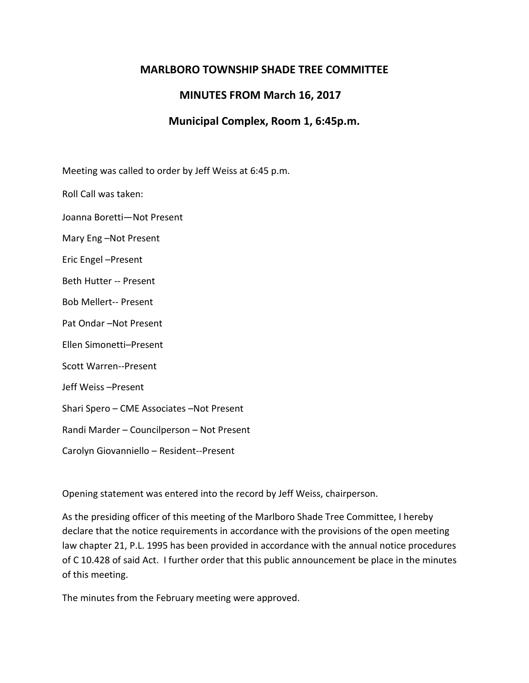## **MARLBORO TOWNSHIP SHADE TREE COMMITTEE**

## **MINUTES FROM March 16, 2017**

## **Municipal Complex, Room 1, 6:45p.m.**

Meeting was called to order by Jeff Weiss at 6:45 p.m.

Roll Call was taken:

Joanna Boretti—Not Present

Mary Eng –Not Present

Eric Engel –Present

Beth Hutter -- Present

Bob Mellert-- Present

Pat Ondar –Not Present

Ellen Simonetti–Present

Scott Warren--Present

Jeff Weiss –Present

Shari Spero – CME Associates –Not Present

Randi Marder – Councilperson – Not Present

Carolyn Giovanniello – Resident--Present

Opening statement was entered into the record by Jeff Weiss, chairperson.

As the presiding officer of this meeting of the Marlboro Shade Tree Committee, I hereby declare that the notice requirements in accordance with the provisions of the open meeting law chapter 21, P.L. 1995 has been provided in accordance with the annual notice procedures of C 10.428 of said Act. I further order that this public announcement be place in the minutes of this meeting.

The minutes from the February meeting were approved.